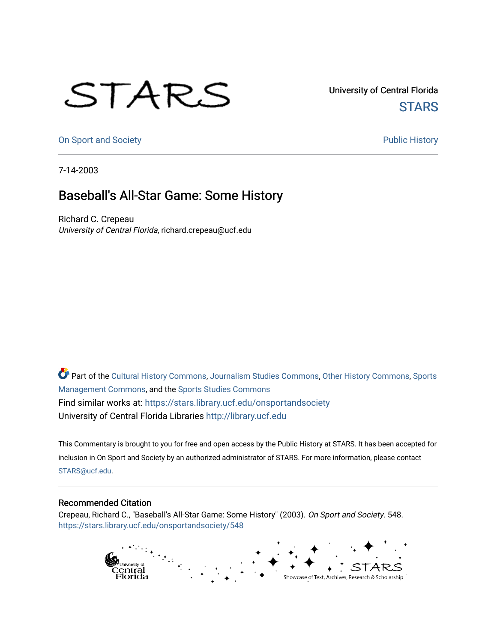## STARS

University of Central Florida **STARS** 

[On Sport and Society](https://stars.library.ucf.edu/onsportandsociety) **Public History** Public History

7-14-2003

## Baseball's All-Star Game: Some History

Richard C. Crepeau University of Central Florida, richard.crepeau@ucf.edu

Part of the [Cultural History Commons](http://network.bepress.com/hgg/discipline/496?utm_source=stars.library.ucf.edu%2Fonsportandsociety%2F548&utm_medium=PDF&utm_campaign=PDFCoverPages), [Journalism Studies Commons,](http://network.bepress.com/hgg/discipline/333?utm_source=stars.library.ucf.edu%2Fonsportandsociety%2F548&utm_medium=PDF&utm_campaign=PDFCoverPages) [Other History Commons,](http://network.bepress.com/hgg/discipline/508?utm_source=stars.library.ucf.edu%2Fonsportandsociety%2F548&utm_medium=PDF&utm_campaign=PDFCoverPages) [Sports](http://network.bepress.com/hgg/discipline/1193?utm_source=stars.library.ucf.edu%2Fonsportandsociety%2F548&utm_medium=PDF&utm_campaign=PDFCoverPages) [Management Commons](http://network.bepress.com/hgg/discipline/1193?utm_source=stars.library.ucf.edu%2Fonsportandsociety%2F548&utm_medium=PDF&utm_campaign=PDFCoverPages), and the [Sports Studies Commons](http://network.bepress.com/hgg/discipline/1198?utm_source=stars.library.ucf.edu%2Fonsportandsociety%2F548&utm_medium=PDF&utm_campaign=PDFCoverPages) Find similar works at: <https://stars.library.ucf.edu/onsportandsociety> University of Central Florida Libraries [http://library.ucf.edu](http://library.ucf.edu/) 

This Commentary is brought to you for free and open access by the Public History at STARS. It has been accepted for inclusion in On Sport and Society by an authorized administrator of STARS. For more information, please contact [STARS@ucf.edu](mailto:STARS@ucf.edu).

## Recommended Citation

Crepeau, Richard C., "Baseball's All-Star Game: Some History" (2003). On Sport and Society. 548. [https://stars.library.ucf.edu/onsportandsociety/548](https://stars.library.ucf.edu/onsportandsociety/548?utm_source=stars.library.ucf.edu%2Fonsportandsociety%2F548&utm_medium=PDF&utm_campaign=PDFCoverPages)

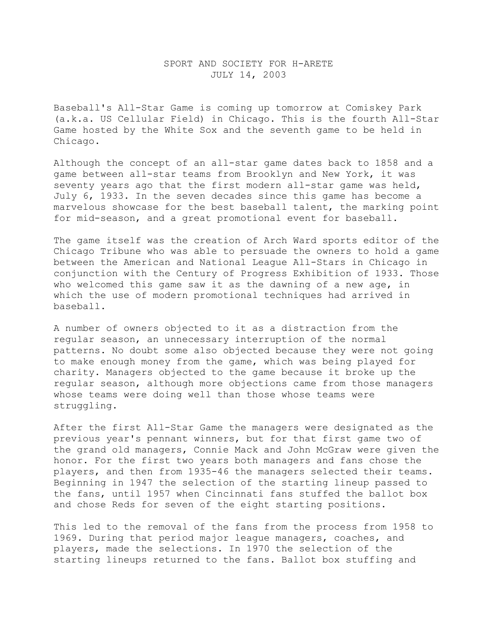## SPORT AND SOCIETY FOR H-ARETE JULY 14, 2003

Baseball's All-Star Game is coming up tomorrow at Comiskey Park (a.k.a. US Cellular Field) in Chicago. This is the fourth All-Star Game hosted by the White Sox and the seventh game to be held in Chicago.

Although the concept of an all-star game dates back to 1858 and a game between all-star teams from Brooklyn and New York, it was seventy years ago that the first modern all-star game was held, July 6, 1933. In the seven decades since this game has become a marvelous showcase for the best baseball talent, the marking point for mid-season, and a great promotional event for baseball.

The game itself was the creation of Arch Ward sports editor of the Chicago Tribune who was able to persuade the owners to hold a game between the American and National League All-Stars in Chicago in conjunction with the Century of Progress Exhibition of 1933. Those who welcomed this game saw it as the dawning of a new age, in which the use of modern promotional techniques had arrived in baseball.

A number of owners objected to it as a distraction from the regular season, an unnecessary interruption of the normal patterns. No doubt some also objected because they were not going to make enough money from the game, which was being played for charity. Managers objected to the game because it broke up the regular season, although more objections came from those managers whose teams were doing well than those whose teams were struggling.

After the first All-Star Game the managers were designated as the previous year's pennant winners, but for that first game two of the grand old managers, Connie Mack and John McGraw were given the honor. For the first two years both managers and fans chose the players, and then from 1935-46 the managers selected their teams. Beginning in 1947 the selection of the starting lineup passed to the fans, until 1957 when Cincinnati fans stuffed the ballot box and chose Reds for seven of the eight starting positions.

This led to the removal of the fans from the process from 1958 to 1969. During that period major league managers, coaches, and players, made the selections. In 1970 the selection of the starting lineups returned to the fans. Ballot box stuffing and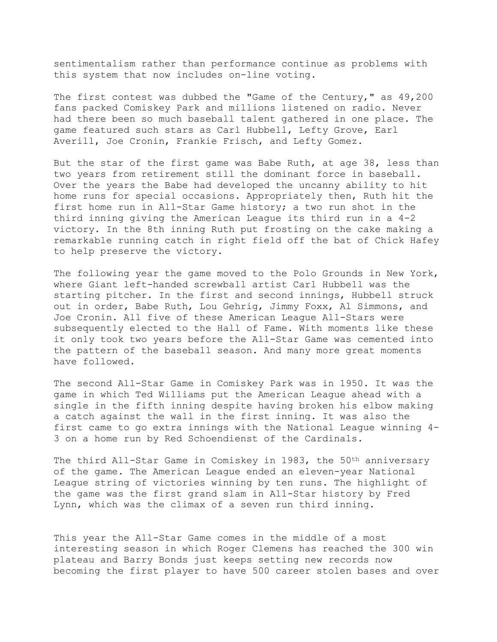sentimentalism rather than performance continue as problems with this system that now includes on-line voting.

The first contest was dubbed the "Game of the Century," as  $49,200$ fans packed Comiskey Park and millions listened on radio. Never had there been so much baseball talent gathered in one place. The game featured such stars as Carl Hubbell, Lefty Grove, Earl Averill, Joe Cronin, Frankie Frisch, and Lefty Gomez.

But the star of the first game was Babe Ruth, at age 38, less than two years from retirement still the dominant force in baseball. Over the years the Babe had developed the uncanny ability to hit home runs for special occasions. Appropriately then, Ruth hit the first home run in All-Star Game history; a two run shot in the third inning giving the American League its third run in a 4-2 victory. In the 8th inning Ruth put frosting on the cake making a remarkable running catch in right field off the bat of Chick Hafey to help preserve the victory.

The following year the game moved to the Polo Grounds in New York, where Giant left-handed screwball artist Carl Hubbell was the starting pitcher. In the first and second innings, Hubbell struck out in order, Babe Ruth, Lou Gehrig, Jimmy Foxx, Al Simmons, and Joe Cronin. All five of these American League All-Stars were subsequently elected to the Hall of Fame. With moments like these it only took two years before the All-Star Game was cemented into the pattern of the baseball season. And many more great moments have followed.

The second All-Star Game in Comiskey Park was in 1950. It was the game in which Ted Williams put the American League ahead with a single in the fifth inning despite having broken his elbow making a catch against the wall in the first inning. It was also the first came to go extra innings with the National League winning 4- 3 on a home run by Red Schoendienst of the Cardinals.

The third All-Star Game in Comiskey in 1983, the 50<sup>th</sup> anniversary of the game. The American League ended an eleven-year National League string of victories winning by ten runs. The highlight of the game was the first grand slam in All-Star history by Fred Lynn, which was the climax of a seven run third inning.

This year the All-Star Game comes in the middle of a most interesting season in which Roger Clemens has reached the 300 win plateau and Barry Bonds just keeps setting new records now becoming the first player to have 500 career stolen bases and over